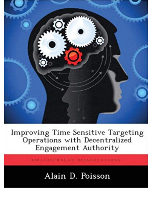

Improving Time Sensitive Targeting<br>Operations with Decentralized Engagement Authority

BIBLIOSCHOLAR DISSERTATIONS

## Alain D. Poisson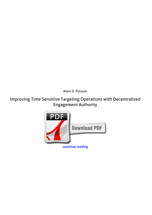*Alain D. Poisson*

## **Improving Time Sensitive Targeting Operations with Decentralized Engagement Authority**

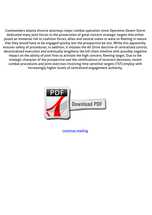Commanders atlanta divorce attorneys major combat operation since Operation Desert Storm dedicated many joint forces to the prosecution of great concern strategic targets that either posed an immense risk to coalition forces, allies and neutral states or were so fleeting in nature that they would have to be engaged quickly lest the prospective be lost. While this apparently ensures safety of procedures, in addition, it violates the Air Drive doctrine of centralized control, decentralized execution and eventually lengthens the kill chain timeline with possibly negative impact on the ability of joint fires to activate the high concern, fleeting target. Due to the strategic character of the prospective and the ramifications of incorrect decisions, recent combat procedures and joint exercises involving time sensitive targets (TST) employ with increasingly higher levels of centralized engagement authority.



[continue reading](http://bit.ly/2Tge8Fv)